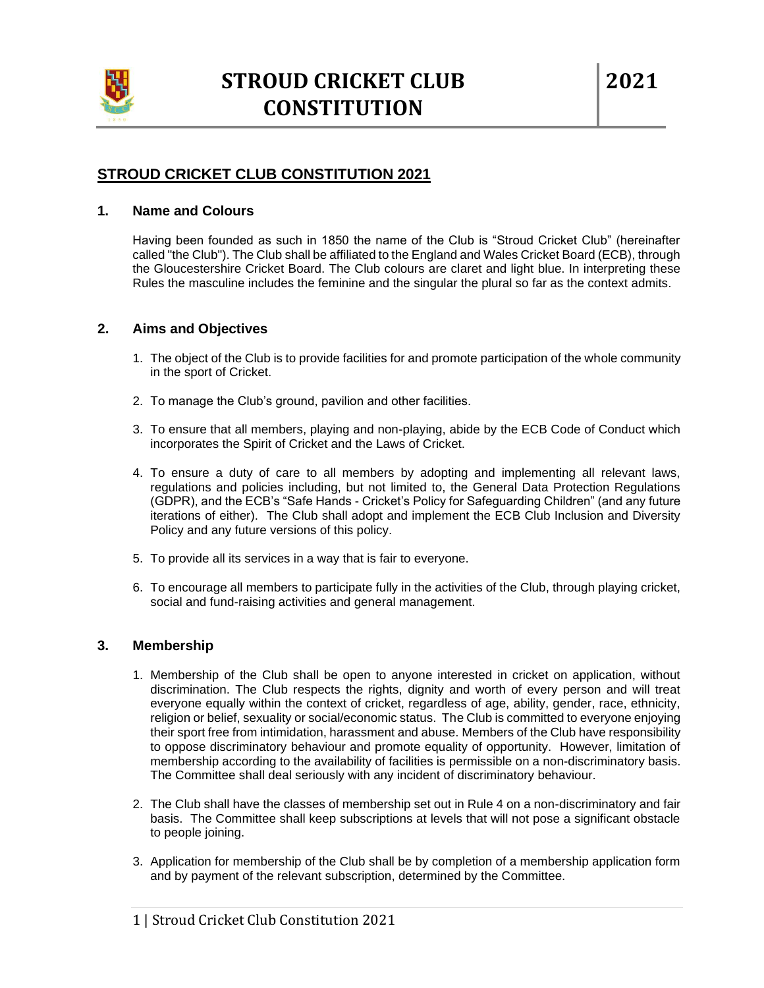

# **STROUD CRICKET CLUB CONSTITUTION 2021**

### **1. Name and Colours**

Having been founded as such in 1850 the name of the Club is "Stroud Cricket Club" (hereinafter called "the Club"). The Club shall be affiliated to the England and Wales Cricket Board (ECB), through the Gloucestershire Cricket Board. The Club colours are claret and light blue. In interpreting these Rules the masculine includes the feminine and the singular the plural so far as the context admits.

## **2. Aims and Objectives**

- 1. The object of the Club is to provide facilities for and promote participation of the whole community in the sport of Cricket.
- 2. To manage the Club's ground, pavilion and other facilities.
- 3. To ensure that all members, playing and non-playing, abide by the ECB Code of Conduct which incorporates the Spirit of Cricket and the Laws of Cricket.
- 4. To ensure a duty of care to all members by adopting and implementing all relevant laws, regulations and policies including, but not limited to, the General Data Protection Regulations (GDPR), and the ECB's "Safe Hands - Cricket's Policy for Safeguarding Children" (and any future iterations of either). The Club shall adopt and implement the ECB Club Inclusion and Diversity Policy and any future versions of this policy.
- 5. To provide all its services in a way that is fair to everyone.
- 6. To encourage all members to participate fully in the activities of the Club, through playing cricket, social and fund-raising activities and general management.

## **3. Membership**

- 1. Membership of the Club shall be open to anyone interested in cricket on application, without discrimination. The Club respects the rights, dignity and worth of every person and will treat everyone equally within the context of cricket, regardless of age, ability, gender, race, ethnicity, religion or belief, sexuality or social/economic status. The Club is committed to everyone enjoying their sport free from intimidation, harassment and abuse. Members of the Club have responsibility to oppose discriminatory behaviour and promote equality of opportunity. However, limitation of membership according to the availability of facilities is permissible on a non-discriminatory basis. The Committee shall deal seriously with any incident of discriminatory behaviour.
- 2. The Club shall have the classes of membership set out in Rule 4 on a non-discriminatory and fair basis. The Committee shall keep subscriptions at levels that will not pose a significant obstacle to people joining.
- 3. Application for membership of the Club shall be by completion of a membership application form and by payment of the relevant subscription, determined by the Committee.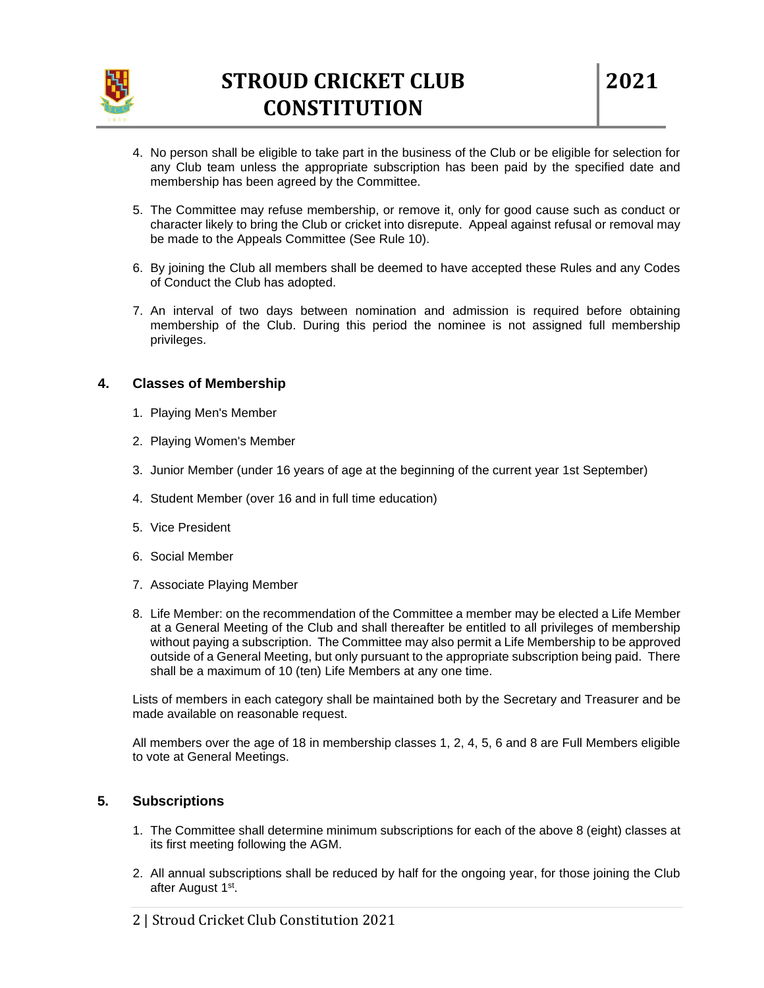

- 4. No person shall be eligible to take part in the business of the Club or be eligible for selection for any Club team unless the appropriate subscription has been paid by the specified date and membership has been agreed by the Committee.
- 5. The Committee may refuse membership, or remove it, only for good cause such as conduct or character likely to bring the Club or cricket into disrepute. Appeal against refusal or removal may be made to the Appeals Committee (See Rule 10).
- 6. By joining the Club all members shall be deemed to have accepted these Rules and any Codes of Conduct the Club has adopted.
- 7. An interval of two days between nomination and admission is required before obtaining membership of the Club. During this period the nominee is not assigned full membership privileges.

### **4. Classes of Membership**

- 1. Playing Men's Member
- 2. Playing Women's Member
- 3. Junior Member (under 16 years of age at the beginning of the current year 1st September)
- 4. Student Member (over 16 and in full time education)
- 5. Vice President
- 6. Social Member
- 7. Associate Playing Member
- 8. Life Member: on the recommendation of the Committee a member may be elected a Life Member at a General Meeting of the Club and shall thereafter be entitled to all privileges of membership without paying a subscription. The Committee may also permit a Life Membership to be approved outside of a General Meeting, but only pursuant to the appropriate subscription being paid. There shall be a maximum of 10 (ten) Life Members at any one time.

Lists of members in each category shall be maintained both by the Secretary and Treasurer and be made available on reasonable request.

All members over the age of 18 in membership classes 1, 2, 4, 5, 6 and 8 are Full Members eligible to vote at General Meetings.

## **5. Subscriptions**

- 1. The Committee shall determine minimum subscriptions for each of the above 8 (eight) classes at its first meeting following the AGM.
- 2. All annual subscriptions shall be reduced by half for the ongoing year, for those joining the Club after August 1<sup>st</sup>.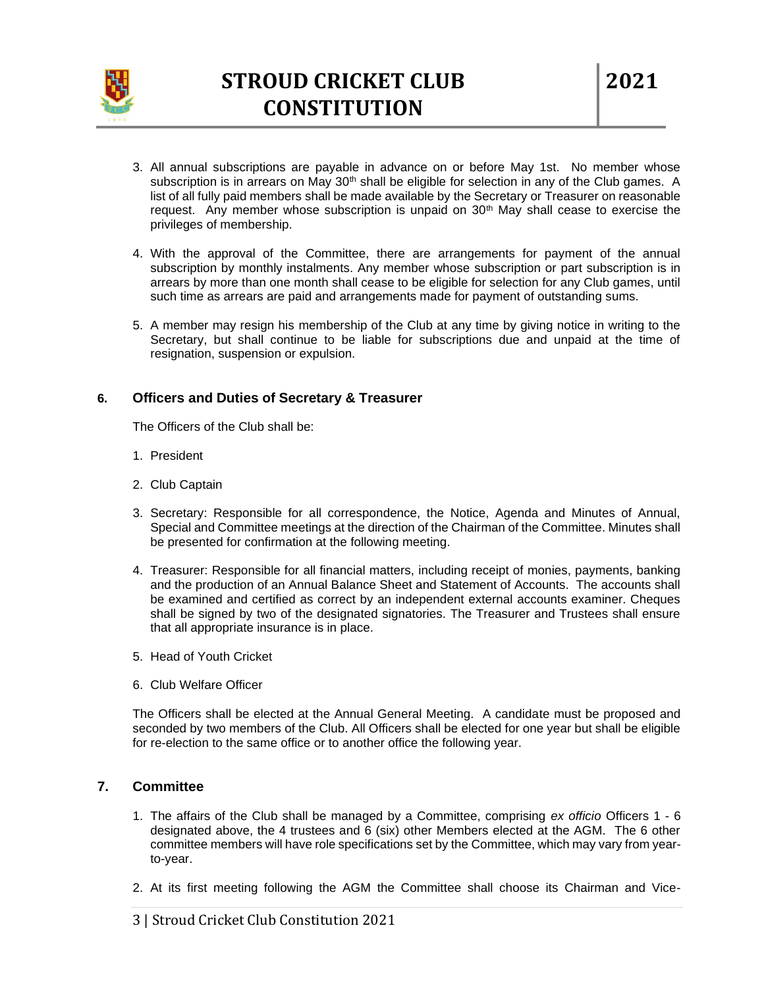

- 3. All annual subscriptions are payable in advance on or before May 1st. No member whose subscription is in arrears on May  $30<sup>th</sup>$  shall be eligible for selection in any of the Club games. A list of all fully paid members shall be made available by the Secretary or Treasurer on reasonable request. Any member whose subscription is unpaid on  $30<sup>th</sup>$  May shall cease to exercise the privileges of membership.
- 4. With the approval of the Committee, there are arrangements for payment of the annual subscription by monthly instalments. Any member whose subscription or part subscription is in arrears by more than one month shall cease to be eligible for selection for any Club games, until such time as arrears are paid and arrangements made for payment of outstanding sums.
- 5. A member may resign his membership of the Club at any time by giving notice in writing to the Secretary, but shall continue to be liable for subscriptions due and unpaid at the time of resignation, suspension or expulsion.

### **6. Officers and Duties of Secretary & Treasurer**

The Officers of the Club shall be:

- 1. President
- 2. Club Captain
- 3. Secretary: Responsible for all correspondence, the Notice, Agenda and Minutes of Annual, Special and Committee meetings at the direction of the Chairman of the Committee. Minutes shall be presented for confirmation at the following meeting.
- 4. Treasurer: Responsible for all financial matters, including receipt of monies, payments, banking and the production of an Annual Balance Sheet and Statement of Accounts. The accounts shall be examined and certified as correct by an independent external accounts examiner. Cheques shall be signed by two of the designated signatories. The Treasurer and Trustees shall ensure that all appropriate insurance is in place.
- 5. Head of Youth Cricket
- 6. Club Welfare Officer

The Officers shall be elected at the Annual General Meeting. A candidate must be proposed and seconded by two members of the Club. All Officers shall be elected for one year but shall be eligible for re-election to the same office or to another office the following year.

### **7. Committee**

- 1. The affairs of the Club shall be managed by a Committee, comprising *ex officio* Officers 1 6 designated above, the 4 trustees and 6 (six) other Members elected at the AGM. The 6 other committee members will have role specifications set by the Committee, which may vary from yearto-year.
- 2. At its first meeting following the AGM the Committee shall choose its Chairman and Vice-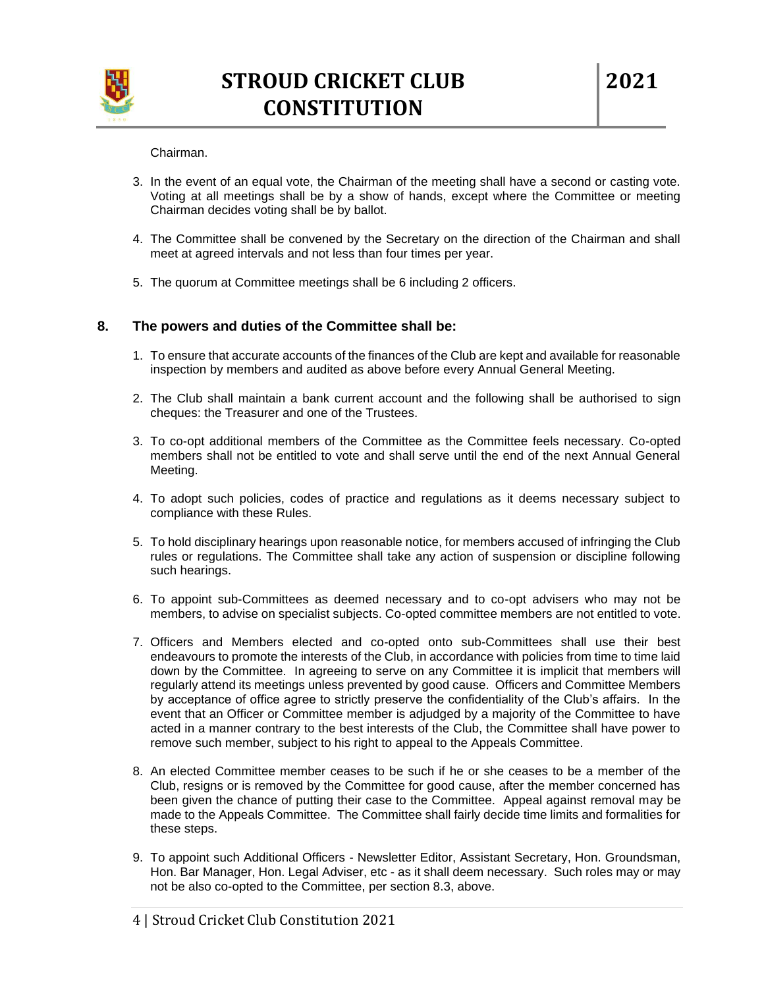

#### Chairman.

- 3. In the event of an equal vote, the Chairman of the meeting shall have a second or casting vote. Voting at all meetings shall be by a show of hands, except where the Committee or meeting Chairman decides voting shall be by ballot.
- 4. The Committee shall be convened by the Secretary on the direction of the Chairman and shall meet at agreed intervals and not less than four times per year.
- 5. The quorum at Committee meetings shall be 6 including 2 officers.

### **8. The powers and duties of the Committee shall be:**

- 1. To ensure that accurate accounts of the finances of the Club are kept and available for reasonable inspection by members and audited as above before every Annual General Meeting.
- 2. The Club shall maintain a bank current account and the following shall be authorised to sign cheques: the Treasurer and one of the Trustees.
- 3. To co-opt additional members of the Committee as the Committee feels necessary. Co-opted members shall not be entitled to vote and shall serve until the end of the next Annual General Meeting.
- 4. To adopt such policies, codes of practice and regulations as it deems necessary subject to compliance with these Rules.
- 5. To hold disciplinary hearings upon reasonable notice, for members accused of infringing the Club rules or regulations. The Committee shall take any action of suspension or discipline following such hearings.
- 6. To appoint sub-Committees as deemed necessary and to co-opt advisers who may not be members, to advise on specialist subjects. Co-opted committee members are not entitled to vote.
- 7. Officers and Members elected and co-opted onto sub-Committees shall use their best endeavours to promote the interests of the Club, in accordance with policies from time to time laid down by the Committee. In agreeing to serve on any Committee it is implicit that members will regularly attend its meetings unless prevented by good cause. Officers and Committee Members by acceptance of office agree to strictly preserve the confidentiality of the Club's affairs. In the event that an Officer or Committee member is adjudged by a majority of the Committee to have acted in a manner contrary to the best interests of the Club, the Committee shall have power to remove such member, subject to his right to appeal to the Appeals Committee.
- 8. An elected Committee member ceases to be such if he or she ceases to be a member of the Club, resigns or is removed by the Committee for good cause, after the member concerned has been given the chance of putting their case to the Committee. Appeal against removal may be made to the Appeals Committee. The Committee shall fairly decide time limits and formalities for these steps.
- 9. To appoint such Additional Officers Newsletter Editor, Assistant Secretary, Hon. Groundsman, Hon. Bar Manager, Hon. Legal Adviser, etc - as it shall deem necessary. Such roles may or may not be also co-opted to the Committee, per section 8.3, above.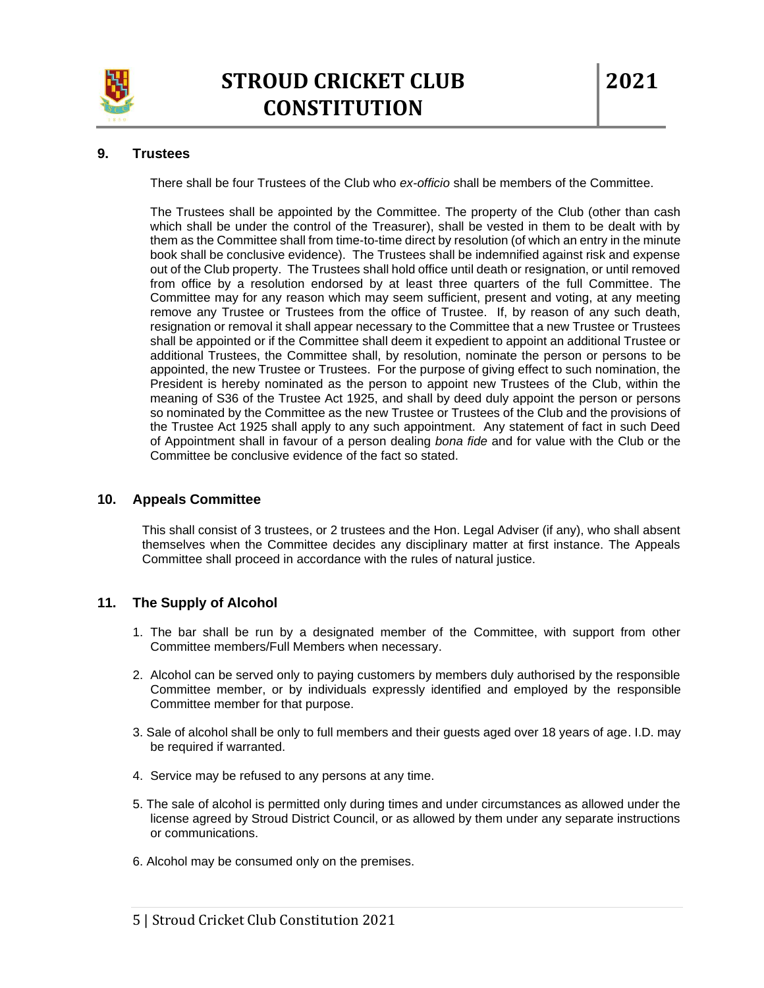

# **9. Trustees**

There shall be four Trustees of the Club who *ex-officio* shall be members of the Committee.

The Trustees shall be appointed by the Committee. The property of the Club (other than cash which shall be under the control of the Treasurer), shall be vested in them to be dealt with by them as the Committee shall from time-to-time direct by resolution (of which an entry in the minute book shall be conclusive evidence). The Trustees shall be indemnified against risk and expense out of the Club property. The Trustees shall hold office until death or resignation, or until removed from office by a resolution endorsed by at least three quarters of the full Committee. The Committee may for any reason which may seem sufficient, present and voting, at any meeting remove any Trustee or Trustees from the office of Trustee. If, by reason of any such death, resignation or removal it shall appear necessary to the Committee that a new Trustee or Trustees shall be appointed or if the Committee shall deem it expedient to appoint an additional Trustee or additional Trustees, the Committee shall, by resolution, nominate the person or persons to be appointed, the new Trustee or Trustees. For the purpose of giving effect to such nomination, the President is hereby nominated as the person to appoint new Trustees of the Club, within the meaning of S36 of the Trustee Act 1925, and shall by deed duly appoint the person or persons so nominated by the Committee as the new Trustee or Trustees of the Club and the provisions of the Trustee Act 1925 shall apply to any such appointment. Any statement of fact in such Deed of Appointment shall in favour of a person dealing *bona fide* and for value with the Club or the Committee be conclusive evidence of the fact so stated.

### **10. Appeals Committee**

This shall consist of 3 trustees, or 2 trustees and the Hon. Legal Adviser (if any), who shall absent themselves when the Committee decides any disciplinary matter at first instance. The Appeals Committee shall proceed in accordance with the rules of natural justice.

## **11. The Supply of Alcohol**

- 1. The bar shall be run by a designated member of the Committee, with support from other Committee members/Full Members when necessary.
- 2. Alcohol can be served only to paying customers by members duly authorised by the responsible Committee member, or by individuals expressly identified and employed by the responsible Committee member for that purpose.
- 3. Sale of alcohol shall be only to full members and their guests aged over 18 years of age. I.D. may be required if warranted.
- 4. Service may be refused to any persons at any time.
- 5. The sale of alcohol is permitted only during times and under circumstances as allowed under the license agreed by Stroud District Council, or as allowed by them under any separate instructions or communications.
- 6. Alcohol may be consumed only on the premises.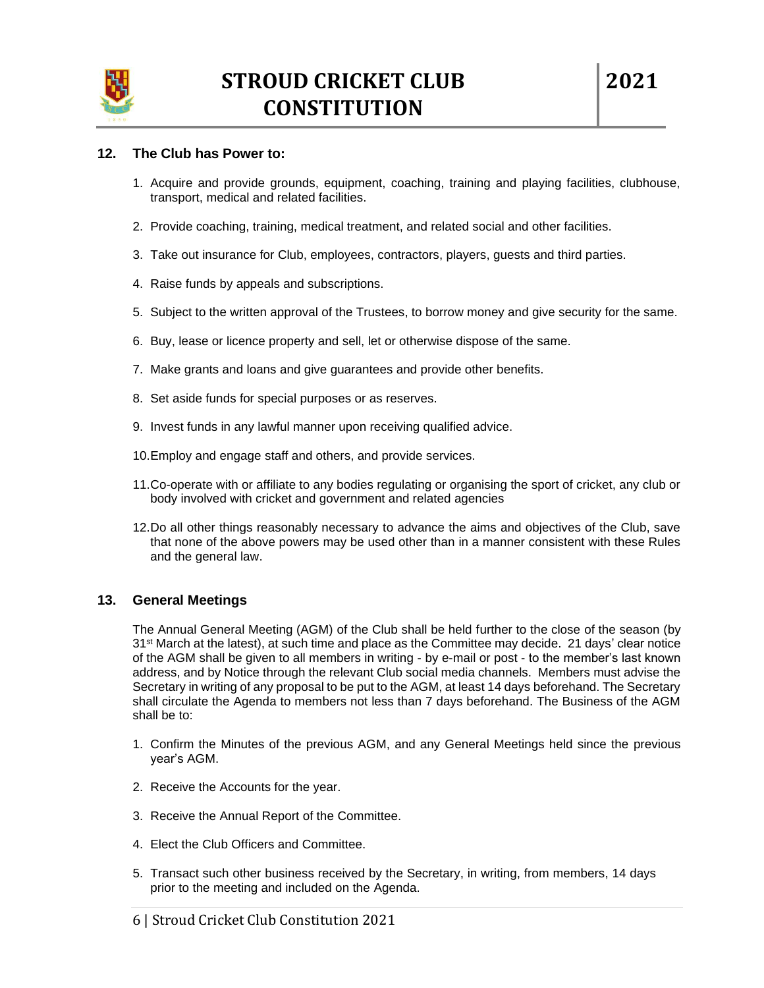

### **12. The Club has Power to:**

- 1. Acquire and provide grounds, equipment, coaching, training and playing facilities, clubhouse, transport, medical and related facilities.
- 2. Provide coaching, training, medical treatment, and related social and other facilities.
- 3. Take out insurance for Club, employees, contractors, players, guests and third parties.
- 4. Raise funds by appeals and subscriptions.
- 5. Subject to the written approval of the Trustees, to borrow money and give security for the same.
- 6. Buy, lease or licence property and sell, let or otherwise dispose of the same.
- 7. Make grants and loans and give guarantees and provide other benefits.
- 8. Set aside funds for special purposes or as reserves.
- 9. Invest funds in any lawful manner upon receiving qualified advice.
- 10.Employ and engage staff and others, and provide services.
- 11.Co-operate with or affiliate to any bodies regulating or organising the sport of cricket, any club or body involved with cricket and government and related agencies
- 12.Do all other things reasonably necessary to advance the aims and objectives of the Club, save that none of the above powers may be used other than in a manner consistent with these Rules and the general law.

### **13. General Meetings**

The Annual General Meeting (AGM) of the Club shall be held further to the close of the season (by 31<sup>st</sup> March at the latest), at such time and place as the Committee may decide. 21 days' clear notice of the AGM shall be given to all members in writing - by e-mail or post - to the member's last known address, and by Notice through the relevant Club social media channels. Members must advise the Secretary in writing of any proposal to be put to the AGM, at least 14 days beforehand. The Secretary shall circulate the Agenda to members not less than 7 days beforehand. The Business of the AGM shall be to:

- 1. Confirm the Minutes of the previous AGM, and any General Meetings held since the previous year's AGM.
- 2. Receive the Accounts for the year.
- 3. Receive the Annual Report of the Committee.
- 4. Elect the Club Officers and Committee.
- 5. Transact such other business received by the Secretary, in writing, from members, 14 days prior to the meeting and included on the Agenda.
- 6 | Stroud Cricket Club Constitution 2021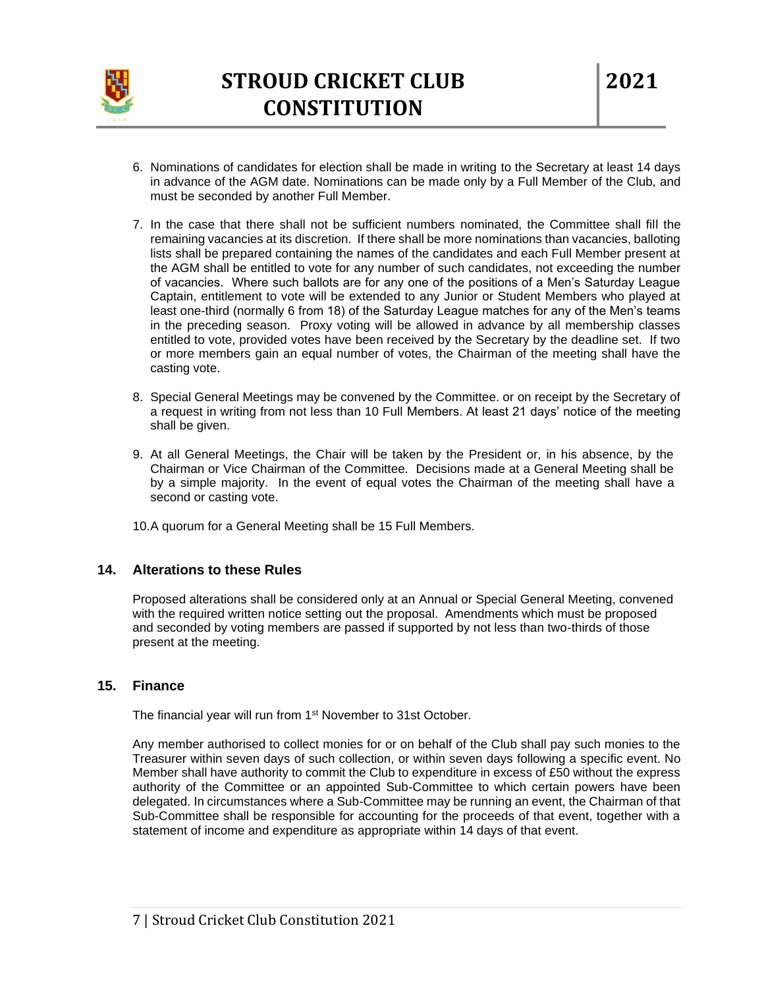

- 6. Nominations of candidates for election shall be made in writing to the Secretary at least 14 days in advance of the AGM date. Nominations can be made only by a Full Member of the Club, and must be seconded by another Full Member.
- 7. In the case that there shall not be sufficient numbers nominated, the Committee shall fill the remaining vacancies at its discretion. If there shall be more nominations than vacancies, balloting lists shall be prepared containing the names of the candidates and each Full Member present at the AGM shall be entitled to vote for any number of such candidates, not exceeding the number of vacancies. Where such ballots are for any one of the positions of a Men's Saturday League Captain, entitlement to vote will be extended to any Junior or Student Members who played at least one-third (normally 6 from 18) of the Saturday League matches for any of the Men's teams in the preceding season. Proxy voting will be allowed in advance by all membership classes entitled to vote, provided votes have been received by the Secretary by the deadline set. If two or more members gain an equal number of votes, the Chairman of the meeting shall have the casting vote.
- 8. Special General Meetings may be convened by the Committee. or on receipt by the Secretary of a request in writing from not less than 10 Full Members. At least 21 days' notice of the meeting shall be given.
- 9. At all General Meetings, the Chair will be taken by the President or, in his absence, by the Chairman or Vice Chairman of the Committee. Decisions made at a General Meeting shall be by a simple majority. In the event of equal votes the Chairman of the meeting shall have a second or casting vote.
- 10.A quorum for a General Meeting shall be 15 Full Members.

### **14. Alterations to these Rules**

Proposed alterations shall be considered only at an Annual or Special General Meeting, convened with the required written notice setting out the proposal. Amendments which must be proposed and seconded by voting members are passed if supported by not less than two-thirds of those present at the meeting.

### **15. Finance**

The financial year will run from 1<sup>st</sup> November to 31st October.

Any member authorised to collect monies for or on behalf of the Club shall pay such monies to the Treasurer within seven days of such collection, or within seven days following a specific event. No Member shall have authority to commit the Club to expenditure in excess of £50 without the express authority of the Committee or an appointed Sub-Committee to which certain powers have been delegated. In circumstances where a Sub-Committee may be running an event, the Chairman of that Sub-Committee shall be responsible for accounting for the proceeds of that event, together with a statement of income and expenditure as appropriate within 14 days of that event.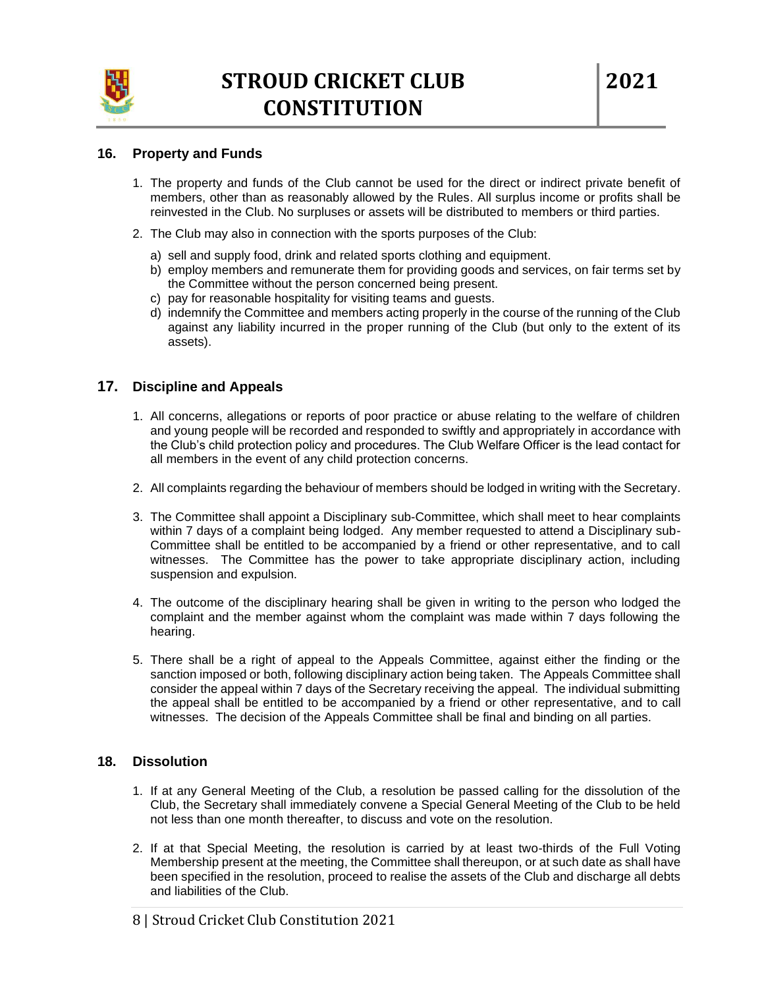

### **16. Property and Funds**

- 1. The property and funds of the Club cannot be used for the direct or indirect private benefit of members, other than as reasonably allowed by the Rules. All surplus income or profits shall be reinvested in the Club. No surpluses or assets will be distributed to members or third parties.
- 2. The Club may also in connection with the sports purposes of the Club:
	- a) sell and supply food, drink and related sports clothing and equipment.
	- b) employ members and remunerate them for providing goods and services, on fair terms set by the Committee without the person concerned being present.
	- c) pay for reasonable hospitality for visiting teams and guests.
	- d) indemnify the Committee and members acting properly in the course of the running of the Club against any liability incurred in the proper running of the Club (but only to the extent of its assets).

### **17. Discipline and Appeals**

- 1. All concerns, allegations or reports of poor practice or abuse relating to the welfare of children and young people will be recorded and responded to swiftly and appropriately in accordance with the Club's child protection policy and procedures. The Club Welfare Officer is the lead contact for all members in the event of any child protection concerns.
- 2. All complaints regarding the behaviour of members should be lodged in writing with the Secretary.
- 3. The Committee shall appoint a Disciplinary sub-Committee, which shall meet to hear complaints within 7 days of a complaint being lodged. Any member requested to attend a Disciplinary sub-Committee shall be entitled to be accompanied by a friend or other representative, and to call witnesses. The Committee has the power to take appropriate disciplinary action, including suspension and expulsion.
- 4. The outcome of the disciplinary hearing shall be given in writing to the person who lodged the complaint and the member against whom the complaint was made within 7 days following the hearing.
- 5. There shall be a right of appeal to the Appeals Committee, against either the finding or the sanction imposed or both, following disciplinary action being taken. The Appeals Committee shall consider the appeal within 7 days of the Secretary receiving the appeal. The individual submitting the appeal shall be entitled to be accompanied by a friend or other representative, and to call witnesses. The decision of the Appeals Committee shall be final and binding on all parties.

### **18. Dissolution**

- 1. If at any General Meeting of the Club, a resolution be passed calling for the dissolution of the Club, the Secretary shall immediately convene a Special General Meeting of the Club to be held not less than one month thereafter, to discuss and vote on the resolution.
- 2. If at that Special Meeting, the resolution is carried by at least two-thirds of the Full Voting Membership present at the meeting, the Committee shall thereupon, or at such date as shall have been specified in the resolution, proceed to realise the assets of the Club and discharge all debts and liabilities of the Club.